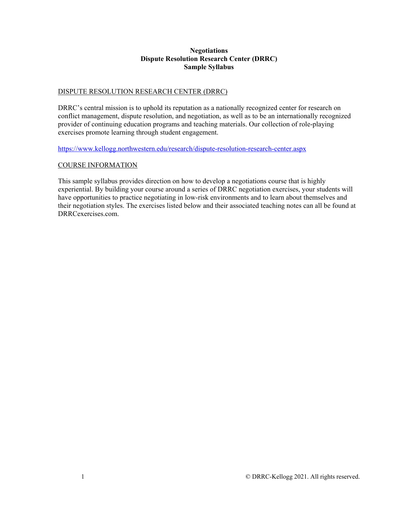## **Negotiations Dispute Resolution Research Center (DRRC) Sample Syllabus**

## DISPUTE RESOLUTION RESEARCH CENTER (DRRC)

DRRC's central mission is to uphold its reputation as a nationally recognized center for research on conflict management, dispute resolution, and negotiation, as well as to be an internationally recognized provider of continuing education programs and teaching materials. Our collection of role-playing exercises promote learning through student engagement.

https://www.kellogg.northwestern.edu/research/dispute-resolution-research-center.aspx

## COURSE INFORMATION

This sample syllabus provides direction on how to develop a negotiations course that is highly experiential. By building your course around a series of DRRC negotiation exercises, your students will have opportunities to practice negotiating in low-risk environments and to learn about themselves and their negotiation styles. The exercises listed below and their associated teaching notes can all be found at DRRCexercises.com.